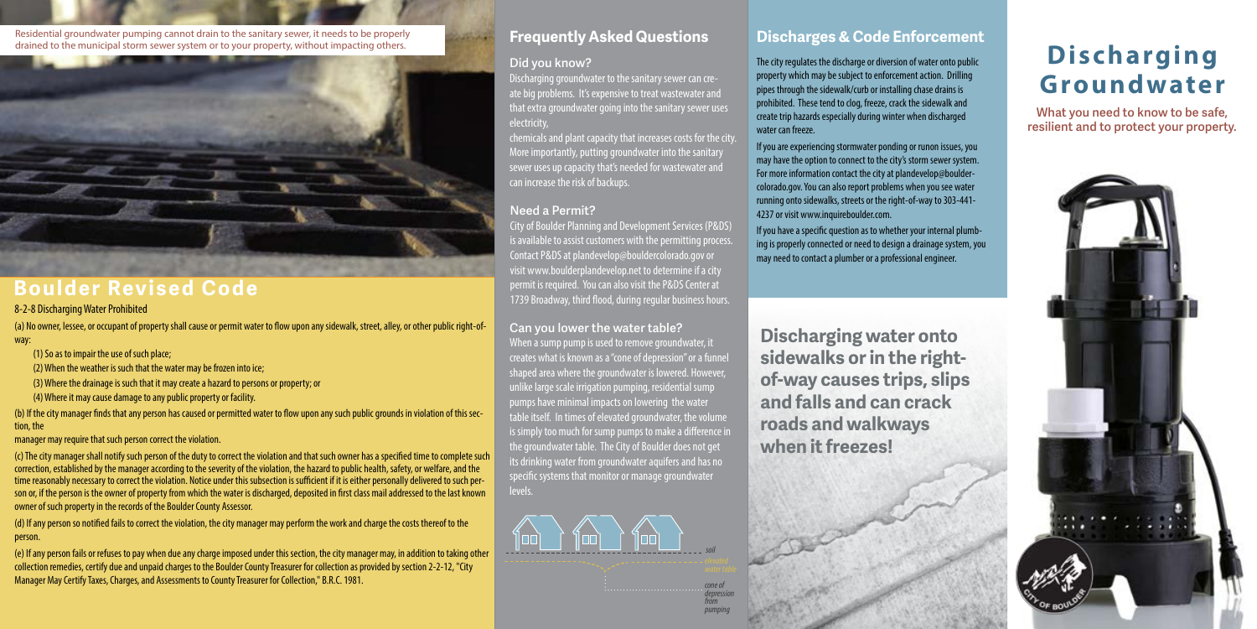## **Discharging Groundwater**

**What you need to know to be safe, resilient and to protect your property.**



Residential groundwater pumping cannot drain to the sanitary sewer, it needs to be properly drained to the municipal storm sewer system or to your property, without impacting others.



### **Boulder Revised Code**

8-2-8 Discharging Water Prohibited

(a) No owner, lessee, or occupant of property shall cause or permit water to flow upon any sidewalk, street, alley, or other public right-ofway:

(1) So as to impair the use of such place;

- (2) When the weather is such that the water may be frozen into ice;
- (3) Where the drainage is such that it may create a hazard to persons or property; or
- (4) Where it may cause damage to any public property or facility.

(b) If the city manager finds that any person has caused or permitted water to flow upon any such public grounds in violation of this section, the

manager may require that such person correct the violation.

(c) The city manager shall notify such person of the duty to correct the violation and that such owner has a specified time to complete such correction, established by the manager according to the severity of the violation, the hazard to public health, safety, or welfare, and the time reasonably necessary to correct the violation. Notice under this subsection is sufficient if it is either personally delivered to such person or, if the person is the owner of property from which the water is discharged, deposited in first class mail addressed to the last known owner of such property in the records of the Boulder County Assessor.

City of Boulder Planning and Development Services (P&DS) is available to assist customers with the permitting process. Contact P&DS at plandevelop@bouldercolorado.gov or visit www.boulderplandevelop.net to determine if a city permit is required. You can also visit the P&DS Center at 1739 Broadway, third flood, during regular business hours.

(d) If any person so notified fails to correct the violation, the city manager may perform the work and charge the costs thereof to the person.

(e) If any person fails or refuses to pay when due any charge imposed under this section, the city manager may, in addition to taking other collection remedies, certify due and unpaid charges to the Boulder County Treasurer for collection as provided by section 2-2-12, "City Manager May Certify Taxes, Charges, and Assessments to County Treasurer for Collection," B.R.C. 1981.

### **Did you know?**

Discharging groundwater to the sanitary sewer can create big problems. It's expensive to treat wastewater and that extra groundwater going into the sanitary sewer uses electricity,

chemicals and plant capacity that increases costs for the city. More importantly, putting groundwater into the sanitary sewer uses up capacity that's needed for wastewater and can increase the risk of backups.

### **Can you lower the water table?**

When a sump pump is used to remove groundwater, it creates what is known as a "cone of depression" or a funnel shaped area where the groundwater is lowered. However, unlike large scale irrigation pumping, residential sump pumps have minimal impacts on lowering the water table itself. In times of elevated groundwater, the volume is simply too much for sump pumps to make a difference in the groundwater table. The City of Boulder does not get its drinking water from groundwater aquifers and has no specific systems that monitor or manage groundwater levels.

### **Need a Permit?**



### **Frequently Asked Questions**

The city regulates the discharge or diversion of water onto public property which may be subject to enforcement action. Drilling pipes through the sidewalk/curb or installing chase drains is prohibited. These tend to clog, freeze, crack the sidewalk and create trip hazards especially during winter when discharged water can freeze.

If you are experiencing stormwater ponding or runon issues, you may have the option to connect to the city's storm sewer system. For more information contact the city at plandevelop@bouldercolorado.gov. You can also report problems when you see water running onto sidewalks, streets or the right-of-way to 303-441- 4237 or visit www.inquireboulder.com.

If you have a specific question as to whether your internal plumbing is properly connected or need to design a drainage system, you may need to contact a plumber or a professional engineer.

### **Discharges & Code Enforcement**

**Discharging water onto sidewalks or in the rightof-way causes trips, slips and falls and can crack roads and walkways when it freezes!**